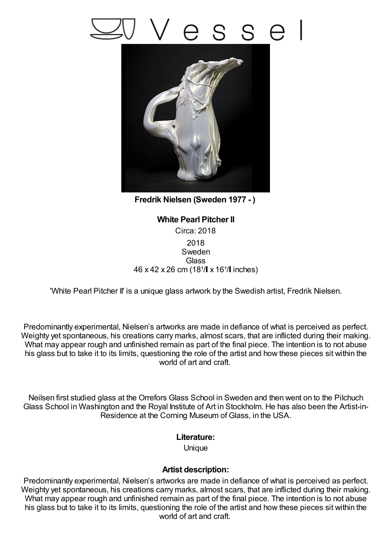## S



**Fredrik Nielsen (Sweden 1977 - )**

## **White Pearl Pitcher II** Circa: 2018 2018 Sweden **Glass** 46 x 42 x 26 cm (18<sup>1</sup>/ x 16<sup>1</sup>/ inches)

'White Pearl Pitcher II' is a unique glass artwork by the Swedish artist, Fredrik Nielsen.

Predominantly experimental, Nielsen's artworks are made in defiance of what is perceived as perfect. Weighty yet spontaneous, his creations carry marks, almost scars, that are inflicted during their making. What may appear rough and unfinished remain as part of the final piece. The intention is to not abuse his glass but to take it to its limits, questioning the role of the artist and how these pieces sit within the world of art and craft.

Neilsen first studied glass at the Orrefors Glass School in Sweden and then went on to the Pilchuch Glass School in Washington and the Royal Institute of Art in Stockholm. He has also been the Artist-in-Residence at the Corning Museum of Glass, in the USA.

## **Literature:**

Unique

## **Artist description:**

Predominantly experimental, Nielsen's artworks are made in defiance of what is perceived as perfect. Weighty yet spontaneous, his creations carry marks, almost scars, that are inflicted during their making. What may appear rough and unfinished remain as part of the final piece. The intention is to not abuse his glass but to take it to its limits, questioning the role of the artist and how these pieces sit within the world of art and craft.